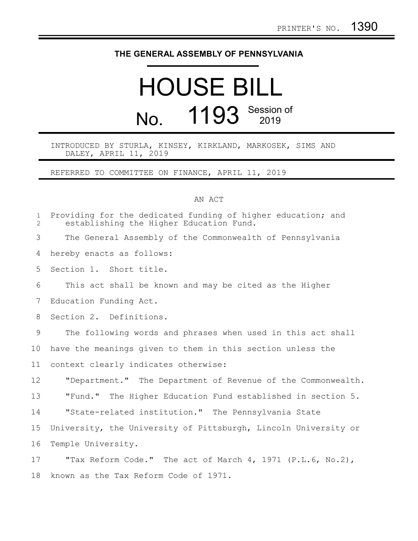## **THE GENERAL ASSEMBLY OF PENNSYLVANIA**

## HOUSE BILL No. 1193 Session of

INTRODUCED BY STURLA, KINSEY, KIRKLAND, MARKOSEK, SIMS AND DALEY, APRIL 11, 2019

REFERRED TO COMMITTEE ON FINANCE, APRIL 11, 2019

## AN ACT

| $\mathbf 1$<br>$\overline{2}$ | Providing for the dedicated funding of higher education; and<br>establishing the Higher Education Fund. |
|-------------------------------|---------------------------------------------------------------------------------------------------------|
| 3                             | The General Assembly of the Commonwealth of Pennsylvania                                                |
| 4                             | hereby enacts as follows:                                                                               |
| 5                             | Section 1. Short title.                                                                                 |
| 6                             | This act shall be known and may be cited as the Higher                                                  |
| 7                             | Education Funding Act.                                                                                  |
| 8                             | Section 2. Definitions.                                                                                 |
| 9                             | The following words and phrases when used in this act shall                                             |
| 10                            | have the meanings given to them in this section unless the                                              |
| 11                            | context clearly indicates otherwise:                                                                    |
| 12                            | "Department." The Department of Revenue of the Commonwealth.                                            |
| 13                            | "Fund." The Higher Education Fund established in section 5.                                             |
| 14                            | "State-related institution." The Pennsylvania State                                                     |
| 15                            | University, the University of Pittsburgh, Lincoln University or                                         |
| 16                            | Temple University.                                                                                      |
| 17                            | "Tax Reform Code." The act of March 4, 1971 (P.L.6, No.2),                                              |
| 18                            | known as the Tax Reform Code of 1971.                                                                   |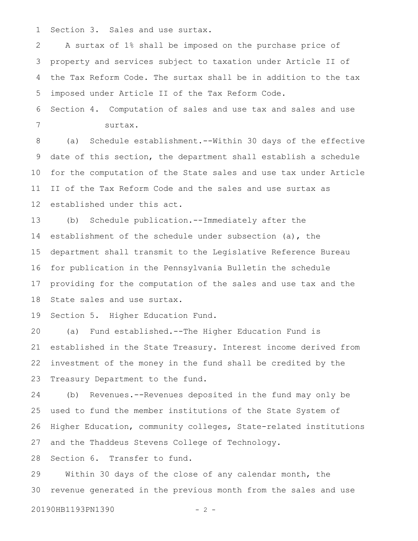Section 3. Sales and use surtax. 1

A surtax of 1% shall be imposed on the purchase price of property and services subject to taxation under Article II of the Tax Reform Code. The surtax shall be in addition to the tax imposed under Article II of the Tax Reform Code. 2 3 4 5

Section 4. Computation of sales and use tax and sales and use surtax. 6 7

(a) Schedule establishment.--Within 30 days of the effective date of this section, the department shall establish a schedule for the computation of the State sales and use tax under Article II of the Tax Reform Code and the sales and use surtax as established under this act. 8 9 10 11 12

(b) Schedule publication.--Immediately after the establishment of the schedule under subsection (a), the department shall transmit to the Legislative Reference Bureau for publication in the Pennsylvania Bulletin the schedule providing for the computation of the sales and use tax and the State sales and use surtax. 13 14 15 16 17 18

Section 5. Higher Education Fund. 19

(a) Fund established.--The Higher Education Fund is established in the State Treasury. Interest income derived from investment of the money in the fund shall be credited by the Treasury Department to the fund. 20 21 22 23

(b) Revenues.--Revenues deposited in the fund may only be used to fund the member institutions of the State System of Higher Education, community colleges, State-related institutions and the Thaddeus Stevens College of Technology. 24 25 26 27

Section 6. Transfer to fund. 28

Within 30 days of the close of any calendar month, the revenue generated in the previous month from the sales and use 29 30

20190HB1193PN1390 - 2 -